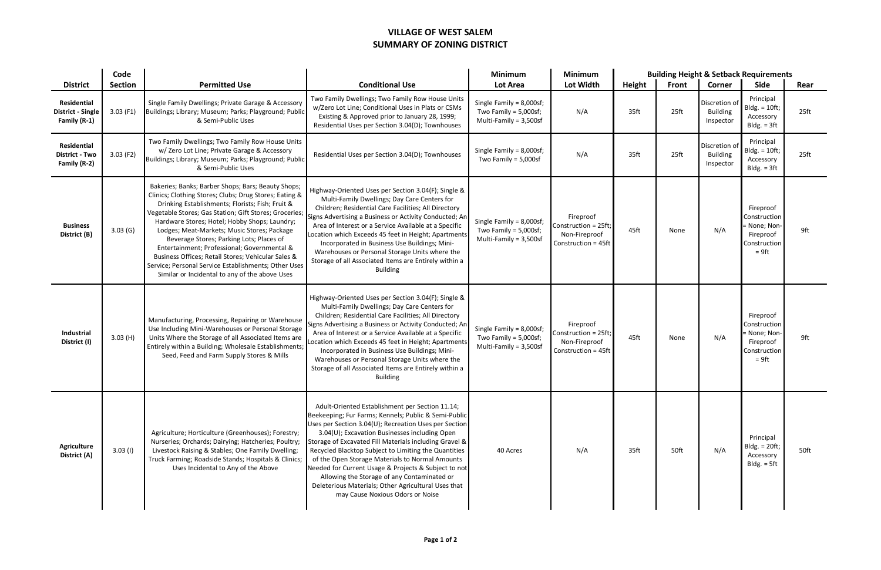## **VILLAGE OF WEST SALEM SUMMARY OF ZONING DISTRICT**

|                                                             | Code           |                                                                                                                                                                                                                                                                                                                                                                                                                                                                                                                                                                                       |                                                                                                                                                                                                                                                                                                                                                                                                                                                                                                                                                                                          | <b>Minimum</b>                                                                       | <b>Minimum</b>                                                            | <b>Building Height &amp; Setback Requirements</b> |       |                                               |                                                                                    |                  |
|-------------------------------------------------------------|----------------|---------------------------------------------------------------------------------------------------------------------------------------------------------------------------------------------------------------------------------------------------------------------------------------------------------------------------------------------------------------------------------------------------------------------------------------------------------------------------------------------------------------------------------------------------------------------------------------|------------------------------------------------------------------------------------------------------------------------------------------------------------------------------------------------------------------------------------------------------------------------------------------------------------------------------------------------------------------------------------------------------------------------------------------------------------------------------------------------------------------------------------------------------------------------------------------|--------------------------------------------------------------------------------------|---------------------------------------------------------------------------|---------------------------------------------------|-------|-----------------------------------------------|------------------------------------------------------------------------------------|------------------|
| <b>District</b>                                             | <b>Section</b> | <b>Permitted Use</b>                                                                                                                                                                                                                                                                                                                                                                                                                                                                                                                                                                  | <b>Conditional Use</b>                                                                                                                                                                                                                                                                                                                                                                                                                                                                                                                                                                   | Lot Area                                                                             | Lot Width                                                                 | Height                                            | Front | <b>Corner</b>                                 | Side                                                                               | Rear             |
| Residential<br><b>District - Single</b><br>Family (R-1)     | $3.03$ (F1)    | Single Family Dwellings; Private Garage & Accessory<br>Buildings; Library; Museum; Parks; Playground; Public<br>& Semi-Public Uses                                                                                                                                                                                                                                                                                                                                                                                                                                                    | Two Family Dwellings; Two Family Row House Units<br>w/Zero Lot Line; Conditional Uses in Plats or CSMs<br>Existing & Approved prior to January 28, 1999;<br>Residential Uses per Section 3.04(D); Townhouses                                                                                                                                                                                                                                                                                                                                                                             | Single Family = $8,000$ sf;<br>Two Family = $5,000$ sf;<br>Multi-Family = $3,500$ sf | N/A                                                                       | 35ft                                              | 25ft  | Discretion of<br><b>Building</b><br>Inspector | Principal<br>$Bldg. = 10ft;$<br>Accessory<br>$Bldg. = 3ft$                         | 25 <sub>ft</sub> |
| <b>Residential</b><br><b>District - Two</b><br>Family (R-2) | $3.03$ (F2)    | Two Family Dwellings; Two Family Row House Units<br>w/ Zero Lot Line; Private Garage & Accessory<br>Buildings; Library; Museum; Parks; Playground; Public<br>& Semi-Public Uses                                                                                                                                                                                                                                                                                                                                                                                                       | Residential Uses per Section 3.04(D); Townhouses                                                                                                                                                                                                                                                                                                                                                                                                                                                                                                                                         | Single Family = $8,000$ sf;<br>Two Family = $5,000$ sf                               | N/A                                                                       | 35ft                                              | 25ft  | Discretion of<br><b>Building</b><br>Inspector | Principal<br>$Bldg. = 10ft;$<br>Accessory<br>$Bldg. = 3ft$                         | 25 <sub>ft</sub> |
| <b>Business</b><br>District (B)                             | 3.03(G)        | Bakeries; Banks; Barber Shops; Bars; Beauty Shops;<br>Clinics; Clothing Stores; Clubs; Drug Stores; Eating &<br>Drinking Establishments; Florists; Fish; Fruit &<br>Vegetable Stores; Gas Station; Gift Stores; Groceries;<br>Hardware Stores; Hotel; Hobby Shops; Laundry;<br>Lodges; Meat-Markets; Music Stores; Package<br>Beverage Stores; Parking Lots; Places of<br>Entertainment; Professional; Governmental &<br>Business Offices; Retail Stores; Vehicular Sales &<br>Service; Personal Service Establishments; Other Uses<br>Similar or Incidental to any of the above Uses | Highway-Oriented Uses per Section 3.04(F); Single &<br>Multi-Family Dwellings; Day Care Centers for<br>Children; Residential Care Facilities; All Directory<br>Signs Advertising a Business or Activity Conducted; An<br>Area of Interest or a Service Available at a Specific<br>Location which Exceeds 45 feet in Height; Apartments<br>Incorporated in Business Use Buildings; Mini-<br>Warehouses or Personal Storage Units where the<br>Storage of all Associated Items are Entirely within a<br><b>Building</b>                                                                    | Single Family = 8,000sf;<br>Two Family = $5,000$ sf;<br>Multi-Family = 3,500sf       | Fireproof<br>Construction = 25ft;<br>Non-Fireproof<br>Construction = 45ft | 45ft                                              | None  | N/A                                           | Fireproof<br>Construction<br>= None; Non-<br>Fireproof<br>Construction<br>$= 9$ ft | 9ft              |
| Industrial<br>District (I)                                  | 3.03(H)        | Manufacturing, Processing, Repairing or Warehouse<br>Use Including Mini-Warehouses or Personal Storage<br>Units Where the Storage of all Associated Items are<br>Entirely within a Building; Wholesale Establishments;<br>Seed, Feed and Farm Supply Stores & Mills                                                                                                                                                                                                                                                                                                                   | Highway-Oriented Uses per Section 3.04(F); Single &<br>Multi-Family Dwellings; Day Care Centers for<br>Children; Residential Care Facilities; All Directory<br>Signs Advertising a Business or Activity Conducted; An<br>Area of Interest or a Service Available at a Specific<br>Location which Exceeds 45 feet in Height; Apartments<br>Incorporated in Business Use Buildings; Mini-<br>Warehouses or Personal Storage Units where the<br>Storage of all Associated Items are Entirely within a<br><b>Building</b>                                                                    | Single Family = 8,000sf;<br>Two Family = $5,000sf$ ;<br>Multi-Family = 3,500sf       | Fireproof<br>Construction = 25ft;<br>Non-Fireproof<br>Construction = 45ft | 45ft                                              | None  | N/A                                           | Fireproof<br>Construction<br>= None; Non-<br>Fireproof<br>Construction<br>$= 9$ ft | 9ft              |
| <b>Agriculture</b><br>District (A)                          | $3.03$ (I)     | Agriculture; Horticulture (Greenhouses); Forestry;<br>Nurseries; Orchards; Dairying; Hatcheries; Poultry;<br>Livestock Raising & Stables; One Family Dwelling;<br>Truck Farming; Roadside Stands; Hospitals & Clinics;<br>Uses Incidental to Any of the Above                                                                                                                                                                                                                                                                                                                         | Adult-Oriented Establishment per Section 11.14;<br>Beekeeping; Fur Farms; Kennels; Public & Semi-Public<br>Uses per Section 3.04(U); Recreation Uses per Section<br>3.04(U); Excavation Businesses including Open<br>Storage of Excavated Fill Materials including Gravel &<br>Recycled Blacktop Subject to Limiting the Quantities<br>of the Open Storage Materials to Normal Amounts<br>Needed for Current Usage & Projects & Subject to not<br>Allowing the Storage of any Contaminated or<br>Deleterious Materials; Other Agricultural Uses that<br>may Cause Noxious Odors or Noise | 40 Acres                                                                             | N/A                                                                       | 35ft                                              | 50ft  | N/A                                           | Principal<br>$Bldg. = 20ft;$<br>Accessory<br>Bldg. $= 5ft$                         | 50ft             |